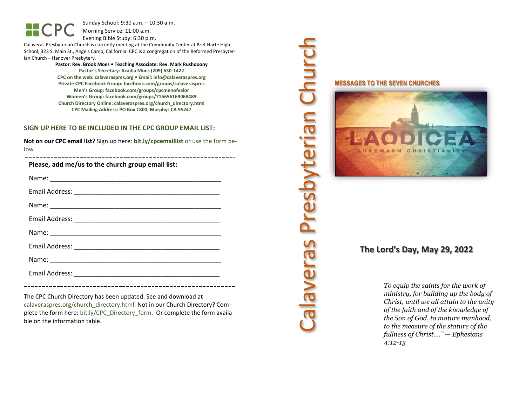Sunday School: 9:30 a.m. – 10:30 a.m. Morning Service: 11:00 a.m.

Evening Bible Study: 6:30 p.m.

Calaveras Presbyterian Church is currently meeting at the Community Center at Bret Harte High School, 323 S. Main St., Angels Camp, California. CPC is a congregation of the Reformed Presbyterian Church – Hanover Presbytery.

> **Pastor: Rev. Brook Moes • Teaching Associate: Rev. Mark Rushdoony Pastor's Secretary: Acadia Moes (209) 630-1422 CPC on the web: calaveraspres.org • Email: [info@calaveraspres.org](mailto:info@calaveraspres.org) Private CPC Facebook Group: facebook.com/groups/calaveraspres Men's Group: facebook.com/groups/cpcmenofvalor Women's Group: facebook.com/groups/716656169068489 Church Directory Online: calaveraspres.org/church\_directory.html CPC Mailing Address: PO Box 1800, Murphys CA 95247**

### **SIGN UP HERE TO BE INCLUDED IN THE CPC GROUP EMAIL LIST:**

**Not on our CPC email list?** Sign up here: **bit.ly/cpcemaillist** or use the form below

| Please, add me/us to the church group email list: |
|---------------------------------------------------|
|                                                   |
|                                                   |
|                                                   |
|                                                   |
|                                                   |
|                                                   |
|                                                   |
|                                                   |
|                                                   |

The CPC Church Directory has been updated. See and download at calaveraspres.org/church\_directory.html. Not in our Church Directory? Complete the form here: bit.ly/CPC\_Directory\_form. Or complete the form available on the information table.

# Calaveras Presbyterian Church Calaveras Presbyterian Church

**MESSAGES TO THE SEVEN CHURCHES**



# **The Lord's Day, May 29, 2022**

*To equip the saints for the work of ministry, for building up the body of Christ, until we all attain to the unity of the faith and of the knowledge of the Son of God, to mature manhood, to the measure of the stature of the fullness of Christ…." — Ephesians 4:12-13*